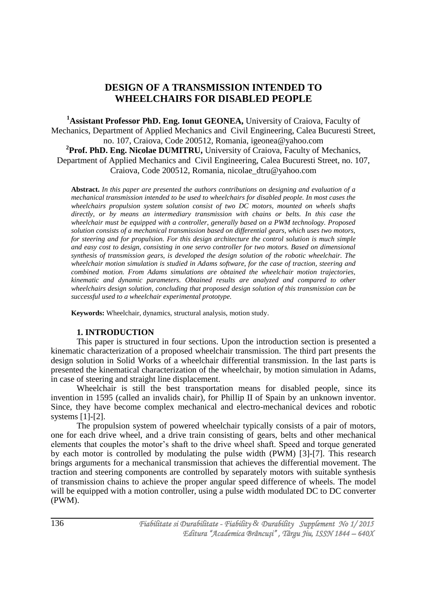# **DESIGN OF A TRANSMISSION INTENDED TO WHEELCHAIRS FOR DISABLED PEOPLE**

**<sup>1</sup>Assistant Professor PhD. Eng. Ionut GEONEA,** University of Craiova, Faculty of Mechanics, Department of Applied Mechanics and Civil Engineering, Calea Bucuresti Street, no. 107, Craiova, Code 200512, Romania, igeonea@yahoo.com <sup>2</sup>Prof. PhD. Eng. Nicolae DUMITRU, University of Craiova, Faculty of Mechanics, Department of Applied Mechanics and Civil Engineering, Calea Bucuresti Street, no. 107, Craiova, Code 200512, Romania, nicolae\_dtru@yahoo.com

**Abstract.** *In this paper are presented the authors contributions on designing and evaluation of a mechanical transmission intended to be used to wheelchairs for disabled people. In most cases the wheelchairs propulsion system solution consist of two DC motors, mounted on wheels shafts directly, or by means an intermediary transmission with chains or belts. In this case the wheelchair must be equipped with a controller, generally based on a PWM technology. Proposed solution consists of a mechanical transmission based on differential gears, which uses two motors, for steering and for propulsion. For this design architecture the control solution is much simple and easy cost to design, consisting in one servo controller for two motors. Based on dimensional synthesis of transmission gears, is developed the design solution of the robotic wheelchair. The wheelchair motion simulation is studied in Adams software, for the case of traction, steering and combined motion. From Adams simulations are obtained the wheelchair motion trajectories, kinematic and dynamic parameters. Obtained results are analyzed and compared to other wheelchairs design solution, concluding that proposed design solution of this transmission can be successful used to a wheelchair experimental prototype.*

**Keywords:** Wheelchair, dynamics, structural analysis, motion study.

# **1. INTRODUCTION**

This paper is structured in four sections. Upon the introduction section is presented a kinematic characterization of a proposed wheelchair transmission. The third part presents the design solution in Solid Works of a wheelchair differential transmission. In the last parts is presented the kinematical characterization of the wheelchair, by motion simulation in Adams, in case of steering and straight line displacement.

Wheelchair is still the best transportation means for disabled people, since its invention in 1595 (called an invalids chair), for Phillip II of Spain by an unknown inventor. Since, they have become complex mechanical and electro-mechanical devices and robotic systems [1]-[2].

The propulsion system of powered wheelchair typically consists of a pair of motors, one for each drive wheel, and a drive train consisting of gears, belts and other mechanical elements that couples the motor's shaft to the drive wheel shaft. Speed and torque generated by each motor is controlled by modulating the pulse width (PWM) [3]-[7]. This research brings arguments for a mechanical transmission that achieves the differential movement. The traction and steering components are controlled by separately motors with suitable synthesis of transmission chains to achieve the proper angular speed difference of wheels. The model will be equipped with a motion controller, using a pulse width modulated DC to DC converter (PWM).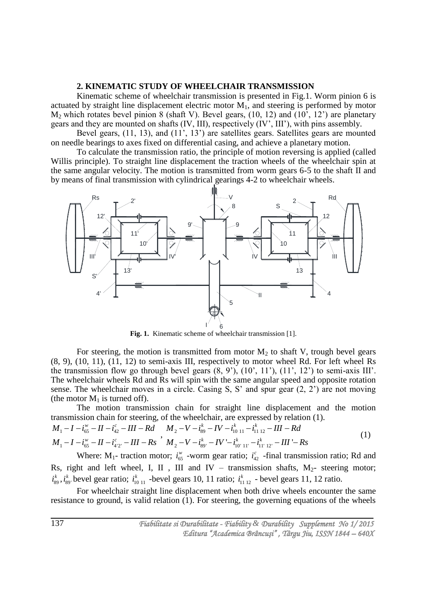# **2. KINEMATIC STUDY OF WHEELCHAIR TRANSMISSION**

Kinematic scheme of wheelchair transmission is presented in Fig.1. Worm pinion 6 is actuated by straight line displacement electric motor  $M_1$ , and steering is performed by motor  $M_2$  which rotates bevel pinion 8 (shaft V). Bevel gears, (10, 12) and (10', 12') are planetary gears and they are mounted on shafts (IV, III), respectively (IV', III'), with pins assembly.

Bevel gears, (11, 13), and (11<sup>'</sup>, 13<sup>'</sup>) are satellites gears. Satellites gears are mounted on needle bearings to axes fixed on differential casing, and achieve a planetary motion.

To calculate the transmission ratio, the principle of motion reversing is applied (called Willis principle). To straight line displacement the traction wheels of the wheelchair spin at the same angular velocity. The motion is transmitted from worm gears 6-5 to the shaft II and by means of final transmission with cylindrical gearings 4-2 to wheelchair wheels.



**Fig. 1.** Kinematic scheme of wheelchair transmission [1].

For steering, the motion is transmitted from motor  $M_2$  to shaft V, trough bevel gears (8, 9), (10, 11), (11, 12) to semi-axis III, respectively to motor wheel Rd. For left wheel Rs the transmission flow go through bevel gears  $(8, 9')$ ,  $(10', 11')$ ,  $(11', 12')$  to semi-axis III'. The wheelchair wheels Rd and Rs will spin with the same angular speed and opposite rotation sense. The wheelchair moves in a circle. Casing S, S' and spur gear (2, 2') are not moving (the motor  $M_1$  is turned off).

The motion transmission chain for straight line displacement and the motion

transmission chain for steering, of the wheelchair, are expressed by relation (1).  
\n
$$
M_1 - I - i_{65}^w - II - i_{42}^c - III - Rd \t M_2 - V - i_{89}^k - IV - i_{1011}^k - i_{1112}^k - III - Rd
$$
\n
$$
M_1 - I - i_{65}^w - II - i_{4'2'}^c - III - Rs \t M_2 - V - i_{89'}^k - IV - i_{10'11'}^k - i_{11'12'}^k - III - Rs \t (1)
$$

Where:  $M_1$ - traction motor;  $i_{65}^{\prime\prime}$  $i_{65}^{\prime\prime}$  -worm gear ratio;  $i_{42}^{\prime\prime}$  $i_{42}^c$  -final transmission ratio; Rd and Rs, right and left wheel, I, II , III and IV – transmission shafts,  $M_2$ - steering motor; 89  $i^k_{89}$  ,  $i^k_{89}$  $i_{89}^k$  bevel gear ratio;  $i_{1011}^k$  $i_{10}^k$ <sub>11</sub> -bevel gears 10, 11 ratio;  $i_{11}^k$ <sub>112</sub>  $i_{1112}^k$  - bevel gears 11, 12 ratio.

For wheelchair straight line displacement when both drive wheels encounter the same resistance to ground, is valid relation (1). For steering, the governing equations of the wheels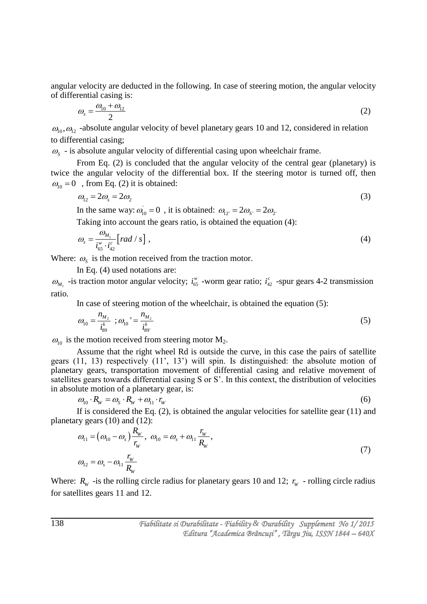angular velocity are deducted in the following. In case of steering motion, the angular velocity of differential casing is:

$$
\omega_s = \frac{\omega_{10} + \omega_{12}}{2} \tag{2}
$$

 $\omega_{10}, \omega_{12}$  -absolute angular velocity of bevel planetary gears 10 and 12, considered in relation to differential casing;

 $\omega_s$  - is absolute angular velocity of differential casing upon wheelchair frame.

From Eq. (2) is concluded that the angular velocity of the central gear (planetary) is twice the angular velocity of the differential box. If the steering motor is turned off, then  $\omega_{10} = 0$ , from Eq. (2) it is obtained:

$$
\omega_{12} = 2\omega_s = 2\omega_2 \tag{3}
$$

In the same way:  $\omega_{10} = 0$ , it is obtained:  $\omega_{12'} = 2\omega_{5'} = 2\omega_{2'}$ .

Taking into account the gears ratio, is obtained the equation (4):

$$
\omega_s = \frac{\omega_{M_1}}{i_{65}^w \cdot i_{42}^c} \left[ \operatorname{rad}/s \right],\tag{4}
$$

Where:  $\omega_s$  is the motion received from the traction motor.

In Eq. (4) used notations are:

 $\omega_{M_1}$  -is traction motor angular velocity;  $i_{65}^{\omega}$  $i_{65}^{\prime\prime}$  -worm gear ratio;  $i_{42}^{\prime\prime}$  $i_{42}^c$  -spur gears 4-2 transmission ratio.

In case of steering motion of the wheelchair, is obtained the equation (5):

$$
\omega_{10} = \frac{n_{M_2}}{i_{89}^k} \; ; \omega_{10} = \frac{n_{M_2}}{i_{89}^k} \tag{5}
$$

 $\omega_{10}$  is the motion received from steering motor M<sub>2</sub>.

Assume that the right wheel Rd is outside the curve, in this case the pairs of satellite gears (11, 13) respectively (11', 13') will spin. Is distinguished: the absolute motion of planetary gears, transportation movement of differential casing and relative movement of satellites gears towards differential casing S or S'. In this context, the distribution of velocities

in absolute motion of a planetary gear, is:  
\n
$$
\omega_{10} \cdot R_w = \omega_s \cdot R_w + \omega_{11} \cdot r_w
$$
\n(6)

If is considered the Eq. (2), is obtained the angular velocities for satellite gear (11) and

planetary years (10) and (12):  
\n
$$
\omega_{11} = (\omega_{10} - \omega_s) \frac{R_w}{r_w}, \ \omega_{10} = \omega_s + \omega_{11} \frac{r_w}{R_w},
$$
\n
$$
\omega_{12} = \omega_s - \omega_{11} \frac{r_w}{R_w}
$$
\n(7)

Where:  $R_w$  -is the rolling circle radius for planetary gears 10 and 12;  $r_w$  - rolling circle radius for satellites gears 11 and 12.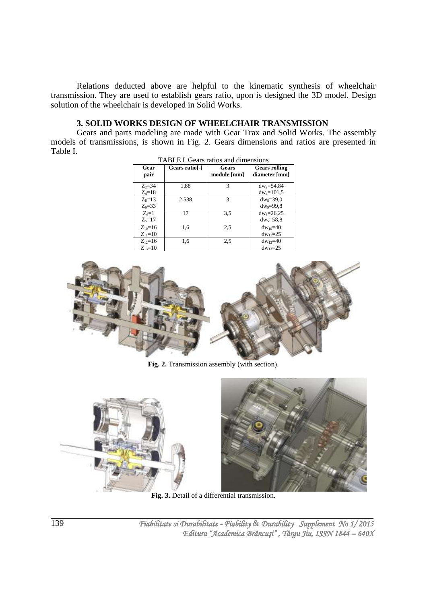Relations deducted above are helpful to the kinematic synthesis of wheelchair transmission. They are used to establish gears ratio, upon is designed the 3D model. Design solution of the wheelchair is developed in Solid Works.

# **3. SOLID WORKS DESIGN OF WHEELCHAIR TRANSMISSION**

Gears and parts modeling are made with Gear Trax and Solid Works. The assembly models of transmissions, is shown in Fig. 2. Gears dimensions and ratios are presented in Table I.

| Gear<br>pair  | Gears ratio <sup>[-]</sup> | Gears<br>module [mm] | <b>Gears rolling</b><br>diameter [mm] |
|---------------|----------------------------|----------------------|---------------------------------------|
| $Z_2 = 34$    | 1,88                       | 3                    | $dw_2 = 54,84$                        |
| $Z_4 = 18$    |                            |                      | $dw_4 = 101,5$                        |
| $Z_8=13$      | 2,538                      | 3                    | $dw_8 = 39.0$                         |
| $Z_0 = 33$    |                            |                      | $dw_9 = 99.8$                         |
| $Z6=1$        | 17                         | 3.5                  | $dw_6 = 26,25$                        |
| $Z_{5} = 17$  |                            |                      | $dw_5 = 58.8$                         |
| $Z_{10} = 16$ | 1,6                        | 2.5                  | $dw_{10}=40$                          |
| $Z_{11}=10$   |                            |                      | $dw_{11}=25$                          |
| $Z_{12}=16$   | 1,6                        | 2.5                  | $dw_1 = 40$                           |
| $Z_{13}=10$   |                            |                      | $dw_{13}=25$                          |



**Fig. 2.** Transmission assembly (with section).



**Fig. 3.** Detail of a differential transmission.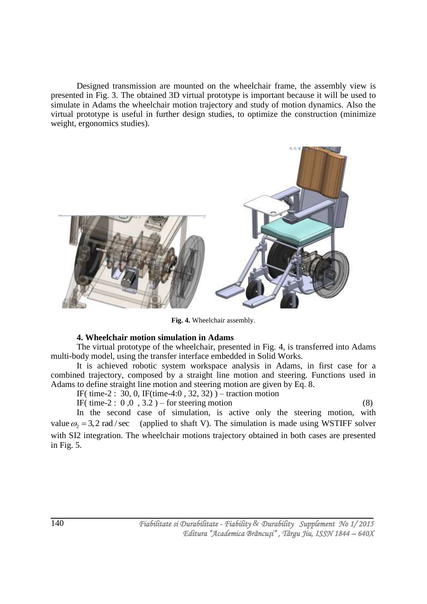Designed transmission are mounted on the wheelchair frame, the assembly view is presented in Fig. 3. The obtained 3D virtual prototype is important because it will be used to simulate in Adams the wheelchair motion trajectory and study of motion dynamics. Also the virtual prototype is useful in further design studies, to optimize the construction (minimize weight, ergonomics studies).



**Fig. 4.** Wheelchair assembly.

# **4. Wheelchair motion simulation in Adams**

The virtual prototype of the wheelchair, presented in Fig. 4, is transferred into Adams multi-body model, using the transfer interface embedded in Solid Works.

It is achieved robotic system workspace analysis in Adams, in first case for a combined trajectory, composed by a straight line motion and steering. Functions used in Adams to define straight line motion and steering motion are given by Eq. 8.

IF( time-2 : 30, 0, IF(time-4:0, 32, 32)) – traction motion IF( time-2 :  $0, 0, 3.2$  ) – for steering motion (8)

In the second case of simulation, is active only the steering motion, with value  $\omega_2 = 3.2$  rad / sec (applied to shaft V). The simulation is made using WSTIFF solver with SI2 integration. The wheelchair motions trajectory obtained in both cases are presented in Fig. 5.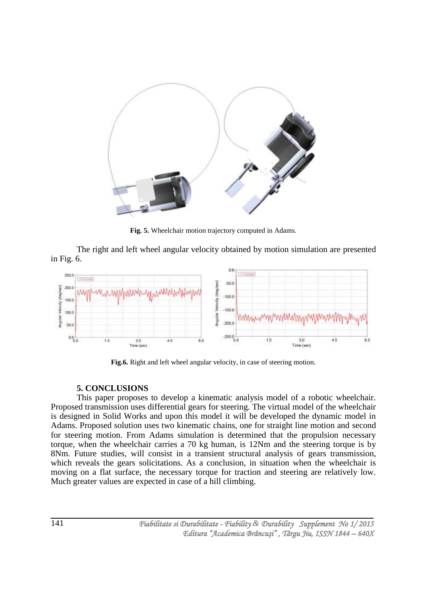

**Fig. 5.** Wheelchair motion trajectory computed in Adams.

The right and left wheel angular velocity obtained by motion simulation are presented in Fig. 6.



Fig.6. Right and left wheel angular velocity, in case of steering motion.

# **5. CONCLUSIONS**

This paper proposes to develop a kinematic analysis model of a robotic wheelchair. Proposed transmission uses differential gears for steering. The virtual model of the wheelchair is designed in Solid Works and upon this model it will be developed the dynamic model in Adams. Proposed solution uses two kinematic chains, one for straight line motion and second for steering motion. From Adams simulation is determined that the propulsion necessary torque, when the wheelchair carries a 70 kg human, is 12Nm and the steering torque is by 8Nm. Future studies, will consist in a transient structural analysis of gears transmission, which reveals the gears solicitations. As a conclusion, in situation when the wheelchair is moving on a flat surface, the necessary torque for traction and steering are relatively low. Much greater values are expected in case of a hill climbing.